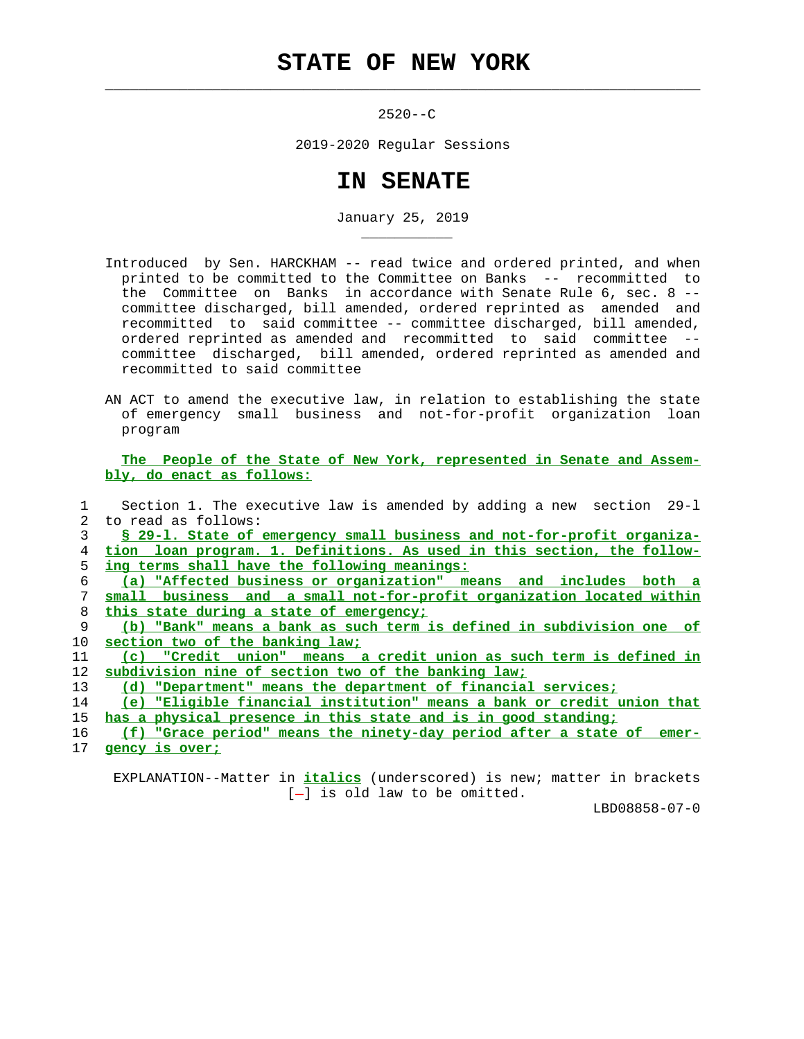## **STATE OF NEW YORK**

 $\mathcal{L}_\text{max} = \frac{1}{2} \sum_{i=1}^{n} \frac{1}{2} \sum_{i=1}^{n} \frac{1}{2} \sum_{i=1}^{n} \frac{1}{2} \sum_{i=1}^{n} \frac{1}{2} \sum_{i=1}^{n} \frac{1}{2} \sum_{i=1}^{n} \frac{1}{2} \sum_{i=1}^{n} \frac{1}{2} \sum_{i=1}^{n} \frac{1}{2} \sum_{i=1}^{n} \frac{1}{2} \sum_{i=1}^{n} \frac{1}{2} \sum_{i=1}^{n} \frac{1}{2} \sum_{i=1}^{n} \frac{1$ 

\_\_\_\_\_\_\_\_\_\_\_

 $2520 - -C$ 

2019-2020 Regular Sessions

## **IN SENATE**

January 25, 2019

- Introduced by Sen. HARCKHAM -- read twice and ordered printed, and when printed to be committed to the Committee on Banks -- recommitted to the Committee on Banks in accordance with Senate Rule 6, sec. 8 - committee discharged, bill amended, ordered reprinted as amended and recommitted to said committee -- committee discharged, bill amended, ordered reprinted as amended and recommitted to said committee - committee discharged, bill amended, ordered reprinted as amended and recommitted to said committee
- AN ACT to amend the executive law, in relation to establishing the state of emergency small business and not-for-profit organization loan program

 **The People of the State of New York, represented in Senate and Assem bly, do enact as follows:**

 1 Section 1. The executive law is amended by adding a new section 29-l 2 to read as follows: **§ 29-l. State of emergency small business and not-for-profit organiza- tion loan program. 1. Definitions. As used in this section, the follow- ing terms shall have the following meanings: (a) "Affected business or organization" means and includes both a small business and a small not-for-profit organization located within this state during a state of emergency; (b) "Bank" means a bank as such term is defined in subdivision one of section two of the banking law; (c) "Credit union" means a credit union as such term is defined in subdivision nine of section two of the banking law; (d) "Department" means the department of financial services; (e) "Eligible financial institution" means a bank or credit union that has a physical presence in this state and is in good standing; (f) "Grace period" means the ninety-day period after a state of emer- gency is over;**

 EXPLANATION--Matter in **italics** (underscored) is new; matter in brackets  $[-]$  is old law to be omitted.

LBD08858-07-0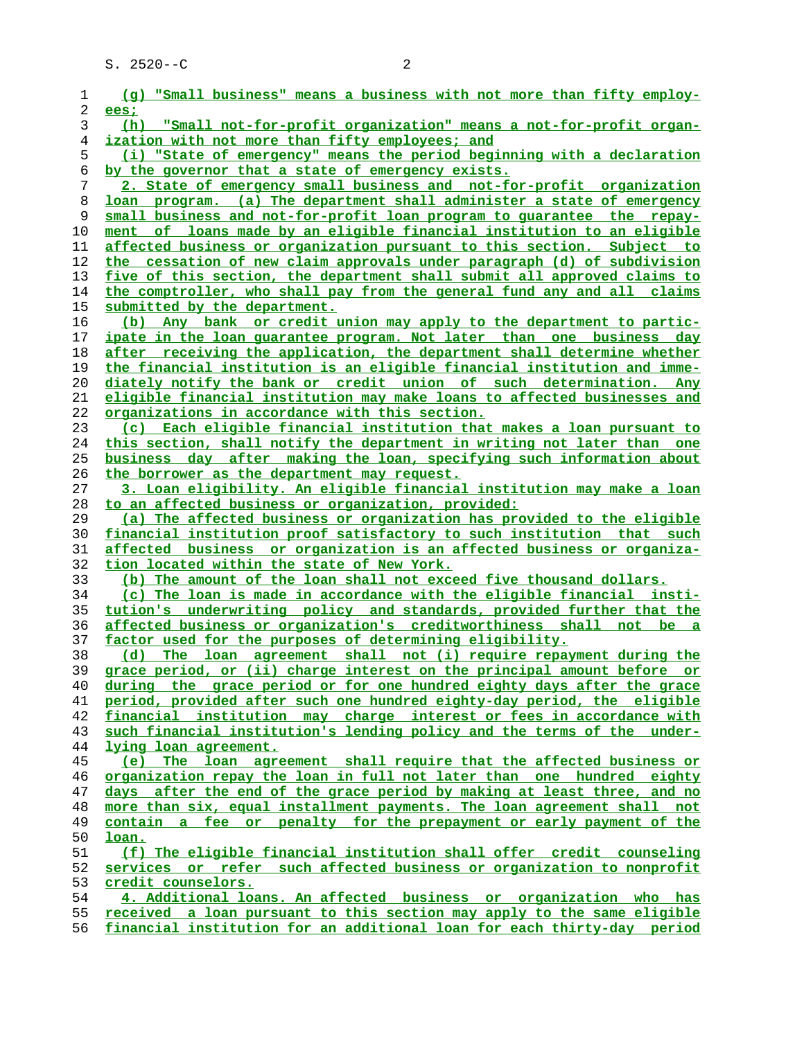| 1  | (g) "Small business" means a business with not more than fifty employ-                           |
|----|--------------------------------------------------------------------------------------------------|
| 2  | ees;                                                                                             |
| 3  | "Small not-for-profit organization" means a not-for-profit organ-<br>(h)                         |
| 4  | ization with not more than fifty employees; and                                                  |
| 5  | (i) "State of emergency" means the period beginning with a declaration                           |
| 6  | by the governor that a state of emergency exists.                                                |
| 7  | 2. State of emergency small business and not-for-profit organization                             |
| 8  | loan program. (a) The department shall administer a state of emergency                           |
| 9  | small business and not-for-profit loan program to guarantee the repay-                           |
| 10 | ment of loans made by an eligible financial institution to an eligible                           |
| 11 | affected business or organization pursuant to this section. Subject to                           |
| 12 | the cessation of new claim approvals under paragraph (d) of subdivision                          |
| 13 | five of this section, the department shall submit all approved claims to                         |
| 14 | the comptroller, who shall pay from the general fund any and all claims                          |
|    |                                                                                                  |
| 15 | submitted by the department.                                                                     |
| 16 | (b) Any bank or credit union may apply to the department to partic-                              |
| 17 | ipate in the loan quarantee program. Not later than one business day                             |
| 18 | after receiving the application, the department shall determine whether                          |
| 19 | the financial institution is an eligible financial institution and imme-                         |
| 20 | diately notify the bank or credit union of such determination. Any                               |
| 21 | eligible financial institution may make loans to affected businesses and                         |
| 22 | organizations in accordance with this section.                                                   |
| 23 | Each eligible financial institution that makes a loan pursuant to<br>$\left( \mathbf{c} \right)$ |
| 24 | this section, shall notify the department in writing not later than one                          |
| 25 | business day after making the loan, specifying such information about                            |
| 26 | the borrower as the department may request.                                                      |
| 27 | 3. Loan eligibility. An eligible financial institution may make a loan                           |
| 28 | to an affected business or organization, provided:                                               |
| 29 | (a) The affected business or organization has provided to the eligible                           |
| 30 | financial institution proof satisfactory to such institution that such                           |
| 31 | affected business or organization is an affected business or organiza-                           |
| 32 | tion located within the state of New York.                                                       |
| 33 | (b) The amount of the loan shall not exceed five thousand dollars.                               |
| 34 | (c) The loan is made in accordance with the eligible financial insti-                            |
| 35 | tution's underwriting policy and standards, provided further that the                            |
| 36 | affected business or organization's creditworthiness shall not be a                              |
| 37 | factor used for the purposes of determining eligibility.                                         |
| 38 | The loan agreement shall not (i) require repayment during the<br>(d)                             |
| 39 | grace period, or (ii) charge interest on the principal amount before or                          |
| 40 | during the grace period or for one hundred eighty days after the grace                           |
| 41 | period, provided after such one hundred eighty-day period, the eligible                          |
| 42 | financial institution may charge interest or fees in accordance with                             |
| 43 | such financial institution's lending policy and the terms of the under-                          |
| 44 | lying loan agreement.                                                                            |
| 45 | (e) The loan agreement shall require that the affected business or                               |
| 46 | organization repay the loan in full not later than one hundred eighty                            |
| 47 | days after the end of the grace period by making at least three, and no                          |
| 48 | more than six, equal installment payments. The loan agreement shall not                          |
| 49 | contain a fee or penalty for the prepayment or early payment of the                              |
| 50 | loan.                                                                                            |
| 51 | (f) The eligible financial institution shall offer credit counseling                             |
| 52 | services or refer such affected business or organization to nonprofit                            |
| 53 | credit counselors.                                                                               |
| 54 | 4. Additional loans. An affected business or organization who has                                |
| 55 | received a loan pursuant to this section may apply to the same eligible                          |
|    |                                                                                                  |

**financial institution for an additional loan for each thirty-day period**